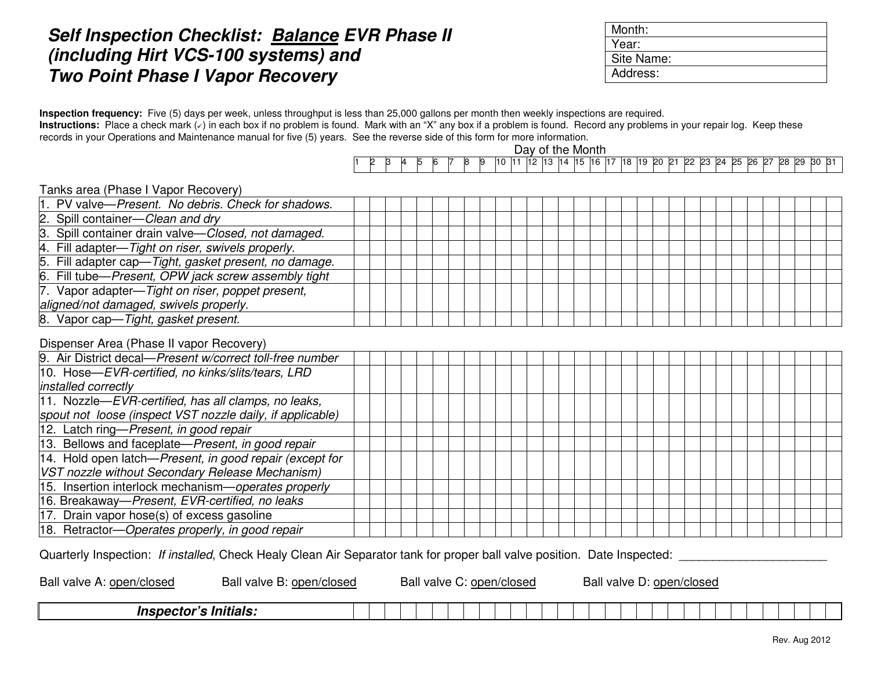## **Self Inspection Checklist: Balance EVR Phase II (including Hirt VCS-100 systems) and Two Point Phase I Vapor Recovery**

| Month:     |  |
|------------|--|
| Year:      |  |
| Site Name: |  |
| Address:   |  |

**Inspection frequency:** Five (5) days per week, unless throughput is less than 25,000 gallons per month then weekly inspections are required. Instructions: Place a check mark ( $\vee$ ) in each box if no problem is found. Mark with an "X" any box if a problem is found. Record any problems in your repair log. Keep these records in your Operations and Maintenance manual for five (5) years. See the reverse side of this form for more information.

Day of the Month

|  | ՝ |  |  | שו | . . |  | 12 | h3 | 14 | . .<br>$\blacksquare$ | -l1 | l18 | 19 <sup>c</sup> | <b>PO</b> | n- | $\Omega$<br>╯ | <b>P3</b> | 24 | りら<br>-- | <b>26</b> | <u>~-</u><br>ĸ | 28 | 29 | lЗC | $\sim$ |
|--|---|--|--|----|-----|--|----|----|----|-----------------------|-----|-----|-----------------|-----------|----|---------------|-----------|----|----------|-----------|----------------|----|----|-----|--------|

Tanks area (Phase I Vapor Recovery)

| 1. PV valve-Present. No debris. Check for shadows.    |  |  |  |  |  |  |  |  |  |  |  |  |  |
|-------------------------------------------------------|--|--|--|--|--|--|--|--|--|--|--|--|--|
| 2. Spill container—Clean and dry                      |  |  |  |  |  |  |  |  |  |  |  |  |  |
| 3. Spill container drain valve-Closed, not damaged.   |  |  |  |  |  |  |  |  |  |  |  |  |  |
| 4. Fill adapter—Tight on riser, swivels properly.     |  |  |  |  |  |  |  |  |  |  |  |  |  |
| 5. Fill adapter cap—Tight, gasket present, no damage. |  |  |  |  |  |  |  |  |  |  |  |  |  |
| 6. Fill tube—Present, OPW jack screw assembly tight   |  |  |  |  |  |  |  |  |  |  |  |  |  |
| 7. Vapor adapter-Tight on riser, poppet present,      |  |  |  |  |  |  |  |  |  |  |  |  |  |
| aligned/not damaged, swivels properly.                |  |  |  |  |  |  |  |  |  |  |  |  |  |
| 8. Vapor cap-Tight, gasket present.                   |  |  |  |  |  |  |  |  |  |  |  |  |  |

## Dispenser Area (Phase II vapor Recovery)

Quarterly Inspection: If installed, Check Healy Clean Air Separator tank for proper ball valve position. Date Inspected:

| Ball valve A: open/closed    | Ball valve B: open/closed |  | Ball valve C: |  | C: open/closed |  |  |  | Ball valve D: open/closed |  |  |  |  |  |  |
|------------------------------|---------------------------|--|---------------|--|----------------|--|--|--|---------------------------|--|--|--|--|--|--|
| <b>Inspector's Initials:</b> |                           |  |               |  |                |  |  |  |                           |  |  |  |  |  |  |